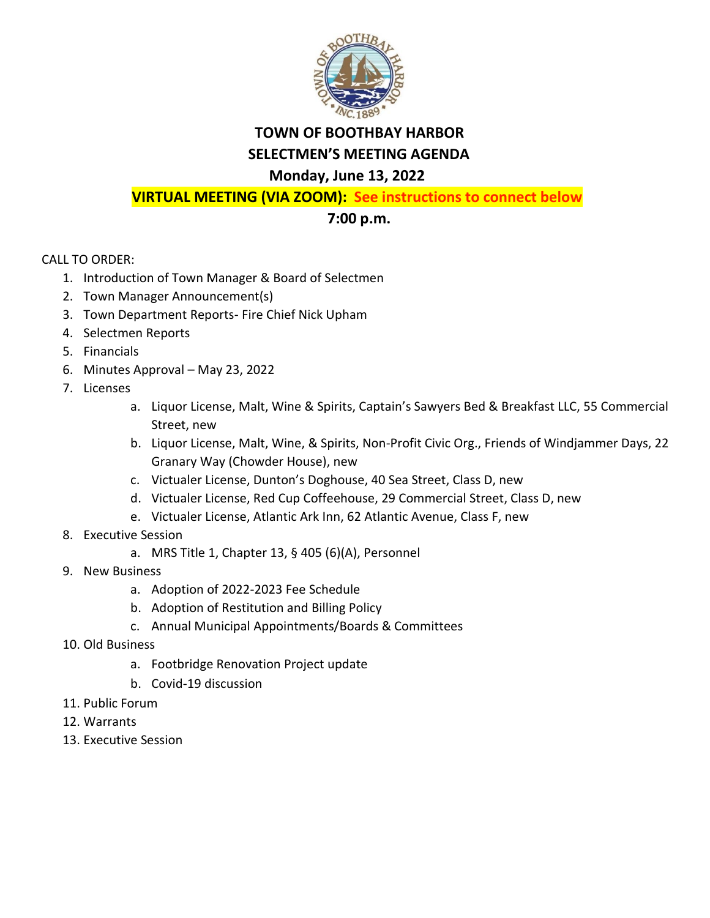

## **TOWN OF BOOTHBAY HARBOR SELECTMEN'S MEETING AGENDA**

## **Monday, June 13, 2022**

**VIRTUAL MEETING (VIA ZOOM): See instructions to connect below**

## **7:00 p.m.**

CALL TO ORDER:

- 1. Introduction of Town Manager & Board of Selectmen
- 2. Town Manager Announcement(s)
- 3. Town Department Reports- Fire Chief Nick Upham
- 4. Selectmen Reports
- 5. Financials
- 6. Minutes Approval May 23, 2022
- 7. Licenses
	- a. Liquor License, Malt, Wine & Spirits, Captain's Sawyers Bed & Breakfast LLC, 55 Commercial Street, new
	- b. Liquor License, Malt, Wine, & Spirits, Non-Profit Civic Org., Friends of Windjammer Days, 22 Granary Way (Chowder House), new
	- c. Victualer License, Dunton's Doghouse, 40 Sea Street, Class D, new
	- d. Victualer License, Red Cup Coffeehouse, 29 Commercial Street, Class D, new
	- e. Victualer License, Atlantic Ark Inn, 62 Atlantic Avenue, Class F, new
- 8. Executive Session
	- a. MRS Title 1, Chapter 13, § 405 (6)(A), Personnel
- 9. New Business
	- a. Adoption of 2022-2023 Fee Schedule
	- b. Adoption of Restitution and Billing Policy
	- c. Annual Municipal Appointments/Boards & Committees
- 10. Old Business
	- a. Footbridge Renovation Project update
	- b. Covid-19 discussion
- 11. Public Forum
- 12. Warrants
- 13. Executive Session